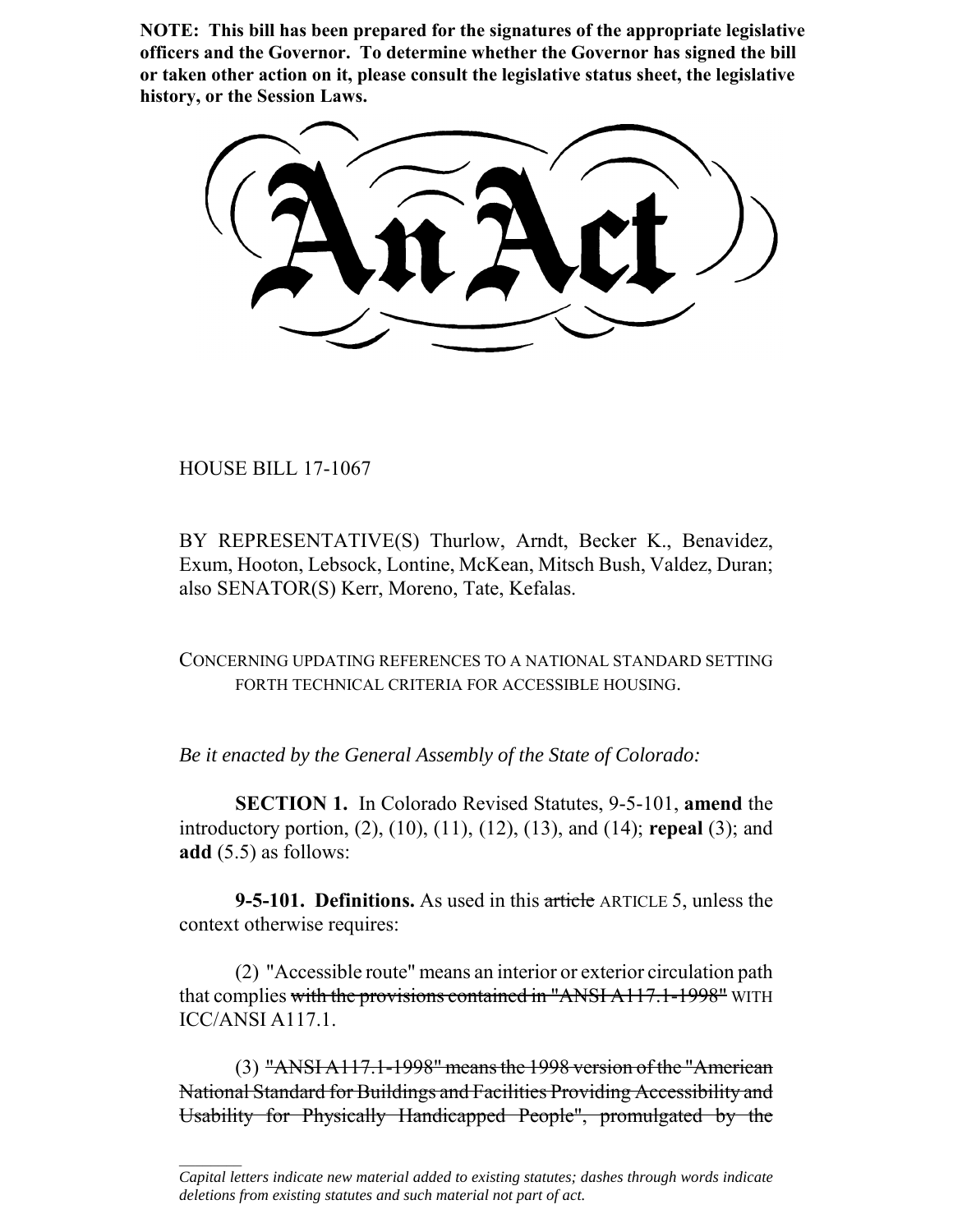**NOTE: This bill has been prepared for the signatures of the appropriate legislative officers and the Governor. To determine whether the Governor has signed the bill or taken other action on it, please consult the legislative status sheet, the legislative history, or the Session Laws.**

HOUSE BILL 17-1067

 $\frac{1}{2}$ 

BY REPRESENTATIVE(S) Thurlow, Arndt, Becker K., Benavidez, Exum, Hooton, Lebsock, Lontine, McKean, Mitsch Bush, Valdez, Duran; also SENATOR(S) Kerr, Moreno, Tate, Kefalas.

CONCERNING UPDATING REFERENCES TO A NATIONAL STANDARD SETTING FORTH TECHNICAL CRITERIA FOR ACCESSIBLE HOUSING.

*Be it enacted by the General Assembly of the State of Colorado:*

**SECTION 1.** In Colorado Revised Statutes, 9-5-101, **amend** the introductory portion, (2), (10), (11), (12), (13), and (14); **repeal** (3); and **add** (5.5) as follows:

**9-5-101. Definitions.** As used in this article ARTICLE 5, unless the context otherwise requires:

(2) "Accessible route" means an interior or exterior circulation path that complies with the provisions contained in "ANSI A117.1-1998" WITH ICC/ANSI A117.1.

(3) "ANSI A117.1-1998" means the 1998 version of the "American National Standard for Buildings and Facilities Providing Accessibility and Usability for Physically Handicapped People", promulgated by the

*Capital letters indicate new material added to existing statutes; dashes through words indicate deletions from existing statutes and such material not part of act.*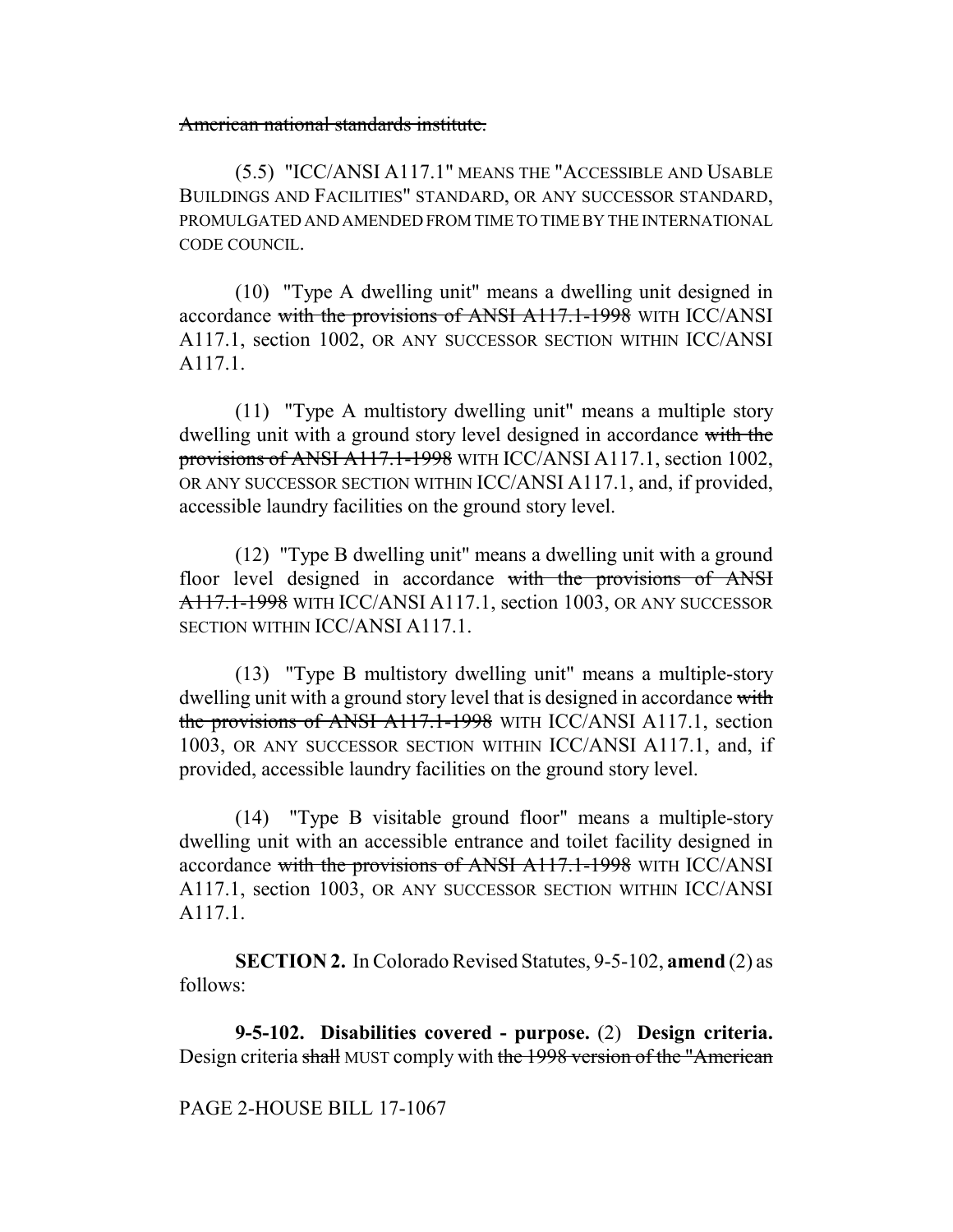## American national standards institute.

(5.5) "ICC/ANSI A117.1" MEANS THE "ACCESSIBLE AND USABLE BUILDINGS AND FACILITIES" STANDARD, OR ANY SUCCESSOR STANDARD, PROMULGATED AND AMENDED FROM TIME TO TIME BY THE INTERNATIONAL CODE COUNCIL.

(10) "Type A dwelling unit" means a dwelling unit designed in accordance with the provisions of ANSI A117.1-1998 WITH ICC/ANSI A117.1, section 1002, OR ANY SUCCESSOR SECTION WITHIN ICC/ANSI A117.1.

(11) "Type A multistory dwelling unit" means a multiple story dwelling unit with a ground story level designed in accordance with the provisions of ANSI A117.1-1998 WITH ICC/ANSI A117.1, section 1002, OR ANY SUCCESSOR SECTION WITHIN ICC/ANSI A117.1, and, if provided, accessible laundry facilities on the ground story level.

(12) "Type B dwelling unit" means a dwelling unit with a ground floor level designed in accordance with the provisions of ANSI A117.1-1998 WITH ICC/ANSI A117.1, section 1003, OR ANY SUCCESSOR SECTION WITHIN ICC/ANSI A117.1.

(13) "Type B multistory dwelling unit" means a multiple-story dwelling unit with a ground story level that is designed in accordance with the provisions of ANSI A117.1-1998 WITH ICC/ANSI A117.1, section 1003, OR ANY SUCCESSOR SECTION WITHIN ICC/ANSI A117.1, and, if provided, accessible laundry facilities on the ground story level.

(14) "Type B visitable ground floor" means a multiple-story dwelling unit with an accessible entrance and toilet facility designed in accordance with the provisions of ANSI A117.1-1998 WITH ICC/ANSI A117.1, section 1003, OR ANY SUCCESSOR SECTION WITHIN ICC/ANSI A117.1.

**SECTION 2.** In Colorado Revised Statutes, 9-5-102, **amend** (2) as follows:

**9-5-102. Disabilities covered - purpose.** (2) **Design criteria.** Design criteria shall MUST comply with the 1998 version of the "American

PAGE 2-HOUSE BILL 17-1067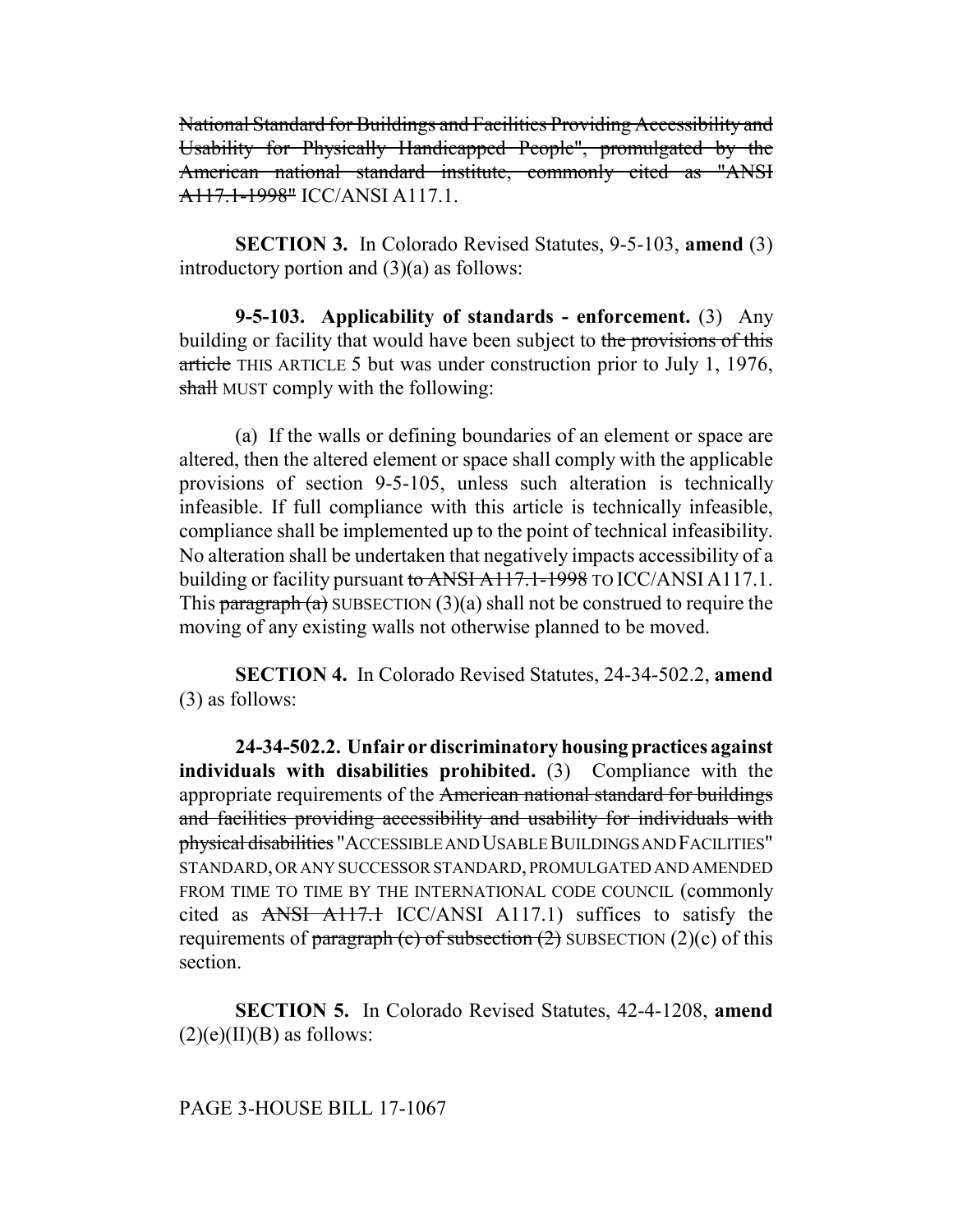National Standard for Buildings and Facilities Providing Accessibility and Usability for Physically Handicapped People", promulgated by the American national standard institute, commonly cited as "ANSI A117.1-1998" ICC/ANSI A117.1.

**SECTION 3.** In Colorado Revised Statutes, 9-5-103, **amend** (3) introductory portion and (3)(a) as follows:

**9-5-103. Applicability of standards - enforcement.** (3) Any building or facility that would have been subject to the provisions of this article THIS ARTICLE 5 but was under construction prior to July 1, 1976, shall MUST comply with the following:

(a) If the walls or defining boundaries of an element or space are altered, then the altered element or space shall comply with the applicable provisions of section 9-5-105, unless such alteration is technically infeasible. If full compliance with this article is technically infeasible, compliance shall be implemented up to the point of technical infeasibility. No alteration shall be undertaken that negatively impacts accessibility of a building or facility pursuant to ANSI A117.1-1998 TO ICC/ANSI A117.1. This paragraph  $(a)$  SUBSECTION  $(3)(a)$  shall not be construed to require the moving of any existing walls not otherwise planned to be moved.

**SECTION 4.** In Colorado Revised Statutes, 24-34-502.2, **amend** (3) as follows:

**24-34-502.2. Unfair or discriminatory housing practices against individuals with disabilities prohibited.** (3) Compliance with the appropriate requirements of the American national standard for buildings and facilities providing accessibility and usability for individuals with physical disabilities "ACCESSIBLE AND USABLE BUILDINGS AND FACILITIES" STANDARD, OR ANY SUCCESSOR STANDARD, PROMULGATED AND AMENDED FROM TIME TO TIME BY THE INTERNATIONAL CODE COUNCIL (commonly cited as ANSI A117.1 ICC/ANSI A117.1) suffices to satisfy the requirements of paragraph (c) of subsection  $(2)$  SUBSECTION  $(2)(c)$  of this section.

**SECTION 5.** In Colorado Revised Statutes, 42-4-1208, **amend**  $(2)(e)(II)(B)$  as follows:

PAGE 3-HOUSE BILL 17-1067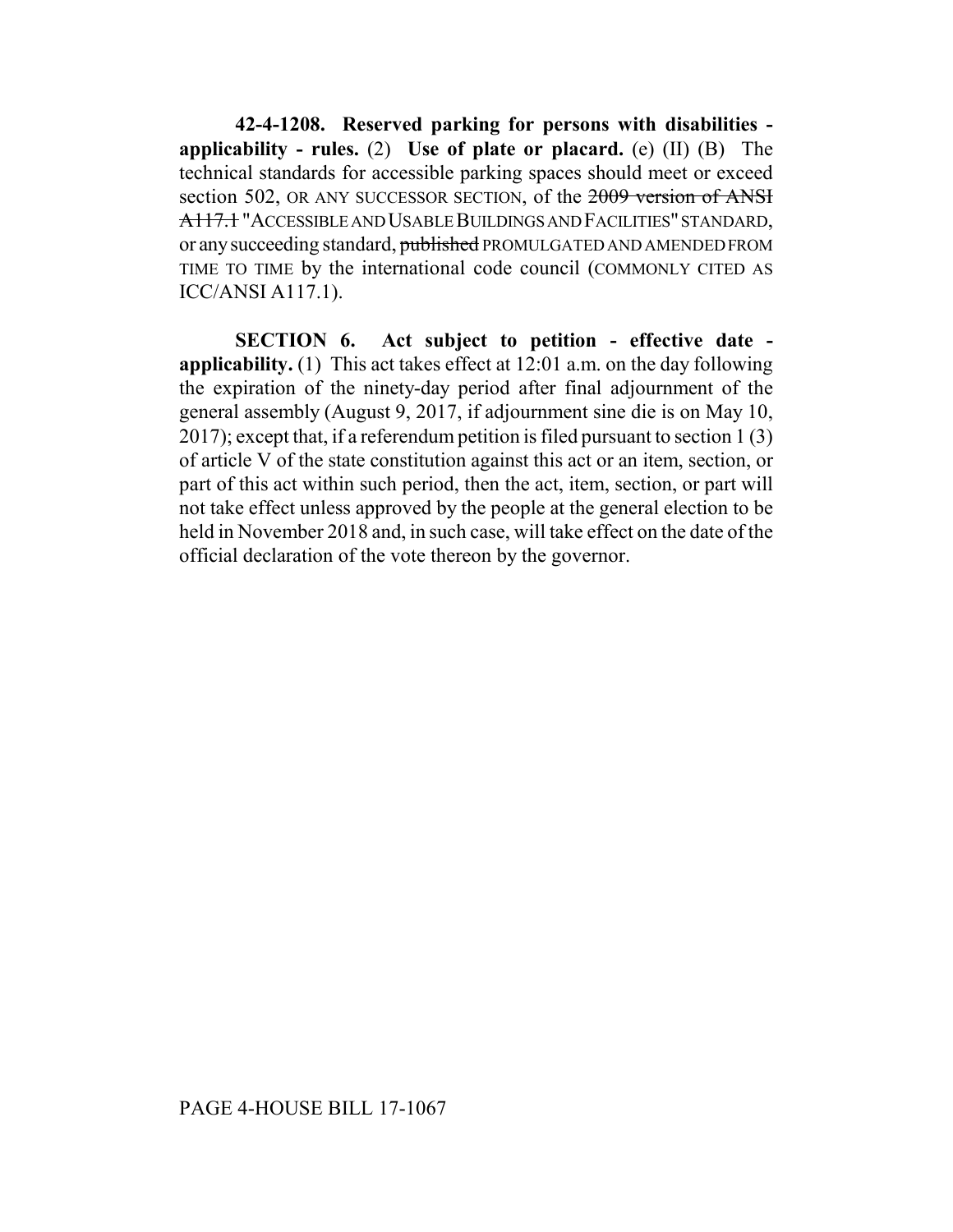**42-4-1208. Reserved parking for persons with disabilities applicability - rules.** (2) **Use of plate or placard.** (e) (II) (B) The technical standards for accessible parking spaces should meet or exceed section 502, OR ANY SUCCESSOR SECTION, of the 2009 version of ANSI A117.1 "ACCESSIBLE AND USABLE BUILDINGS AND FACILITIES" STANDARD, or any succeeding standard, published PROMULGATED AND AMENDED FROM TIME TO TIME by the international code council (COMMONLY CITED AS ICC/ANSI A117.1).

**SECTION 6. Act subject to petition - effective date applicability.** (1) This act takes effect at 12:01 a.m. on the day following the expiration of the ninety-day period after final adjournment of the general assembly (August 9, 2017, if adjournment sine die is on May 10, 2017); except that, if a referendum petition is filed pursuant to section 1 (3) of article V of the state constitution against this act or an item, section, or part of this act within such period, then the act, item, section, or part will not take effect unless approved by the people at the general election to be held in November 2018 and, in such case, will take effect on the date of the official declaration of the vote thereon by the governor.